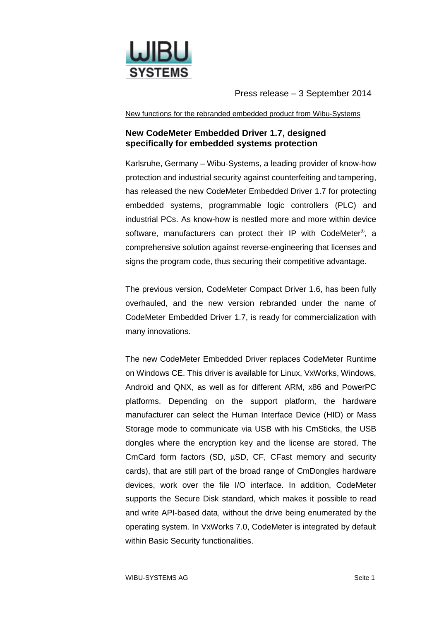

Press release – 3 September 2014

New functions for the rebranded embedded product from Wibu-Systems

## **New CodeMeter Embedded Driver 1.7, designed specifically for embedded systems protection**

Karlsruhe, Germany – Wibu-Systems, a leading provider of know-how protection and industrial security against counterfeiting and tampering, has released the new CodeMeter Embedded Driver 1.7 for protecting embedded systems, programmable logic controllers (PLC) and industrial PCs. As know-how is nestled more and more within device software, manufacturers can protect their IP with CodeMeter<sup>®</sup>, a comprehensive solution against reverse-engineering that licenses and signs the program code, thus securing their competitive advantage.

The previous version, CodeMeter Compact Driver 1.6, has been fully overhauled, and the new version rebranded under the name of CodeMeter Embedded Driver 1.7, is ready for commercialization with many innovations.

The new CodeMeter Embedded Driver replaces CodeMeter Runtime on Windows CE. This driver is available for Linux, VxWorks, Windows, Android and QNX, as well as for different ARM, x86 and PowerPC platforms. Depending on the support platform, the hardware manufacturer can select the Human Interface Device (HID) or Mass Storage mode to communicate via USB with his CmSticks, the USB dongles where the encryption key and the license are stored. The CmCard form factors (SD,  $\mu$ SD, CF, CFast memory and security cards), that are still part of the broad range of CmDongles hardware devices, work over the file I/O interface. In addition, CodeMeter supports the Secure Disk standard, which makes it possible to read and write API-based data, without the drive being enumerated by the operating system. In VxWorks 7.0, CodeMeter is integrated by default within Basic Security functionalities.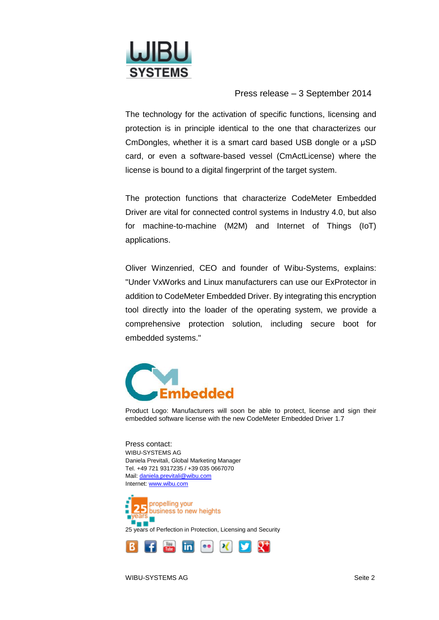

Press release – 3 September 2014

The technology for the activation of specific functions, licensing and protection is in principle identical to the one that characterizes our CmDongles, whether it is a smart card based USB dongle or a μSD card, or even a software-based vessel (CmActLicense) where the license is bound to a digital fingerprint of the target system.

The protection functions that characterize CodeMeter Embedded Driver are vital for connected control systems in Industry 4.0, but also for machine-to-machine (M2M) and Internet of Things (IoT) applications.

Oliver Winzenried, CEO and founder of Wibu-Systems, explains: "Under VxWorks and Linux manufacturers can use our ExProtector in addition to CodeMeter Embedded Driver. By integrating this encryption tool directly into the loader of the operating system, we provide a comprehensive protection solution, including secure boot for embedded systems."



Product Logo: Manufacturers will soon be able to protect, license and sign their embedded software license with the new CodeMeter Embedded Driver 1.7

Press contact: WIBU-SYSTEMS AG Daniela Previtali, Global Marketing Manager Tel. +49 721 9317235 / +39 035 0667070 Mail[: daniela.previtali@wibu.com](mailto:daniela.previtali@wibu.com) Internet[: www.wibu.com](http://www.wibu.com/)

propelling your business to new heights 25 years of Perfection in Protection, Licensing and Security